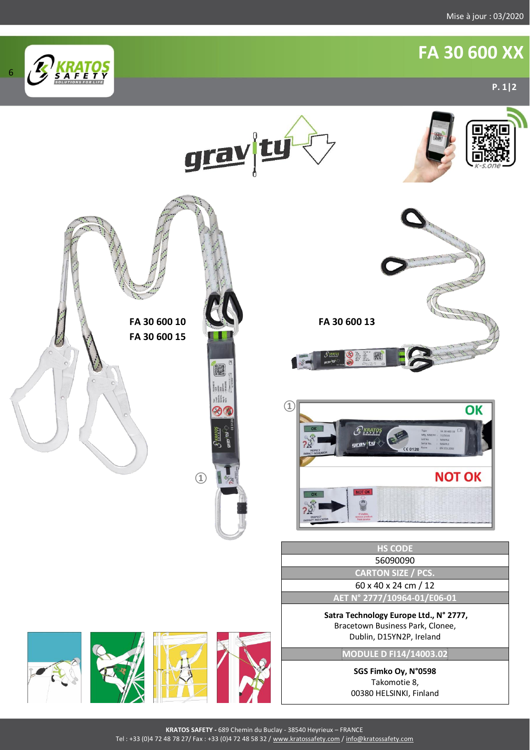## **FA 30 600 XX**

6



**KRATOS SAFETY -** 689 Chemin du Buclay - 38540 Heyrieux – FRANCE Tel : +33 (0)4 72 48 78 27/ Fax : +33 (0)4 72 48 58 32 / [www.kratossafety.com](http://www.kratossafety.com/) [/ info@kratossafety.com](mailto:info@kratossafety.com)